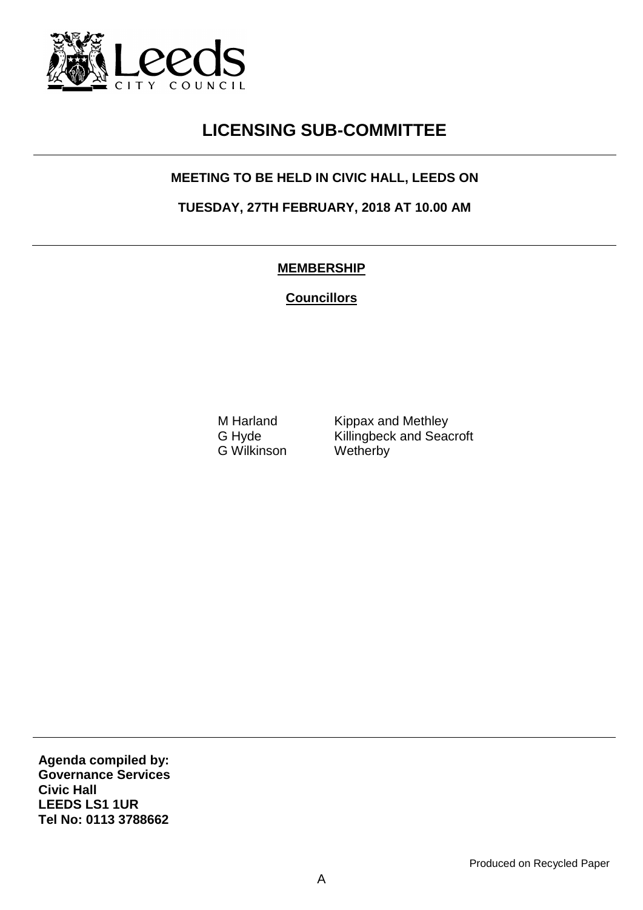

## **LICENSING SUB-COMMITTEE**

## **MEETING TO BE HELD IN CIVIC HALL, LEEDS ON**

**TUESDAY, 27TH FEBRUARY, 2018 AT 10.00 AM**

## **MEMBERSHIP**

**Councillors**

G Wilkinson Wetherby

M Harland Kippax and Methley<br>G Hyde Killingbeck and Sead Killingbeck and Seacroft

**Agenda compiled by: Governance Services Civic Hall LEEDS LS1 1UR Tel No: 0113 3788662**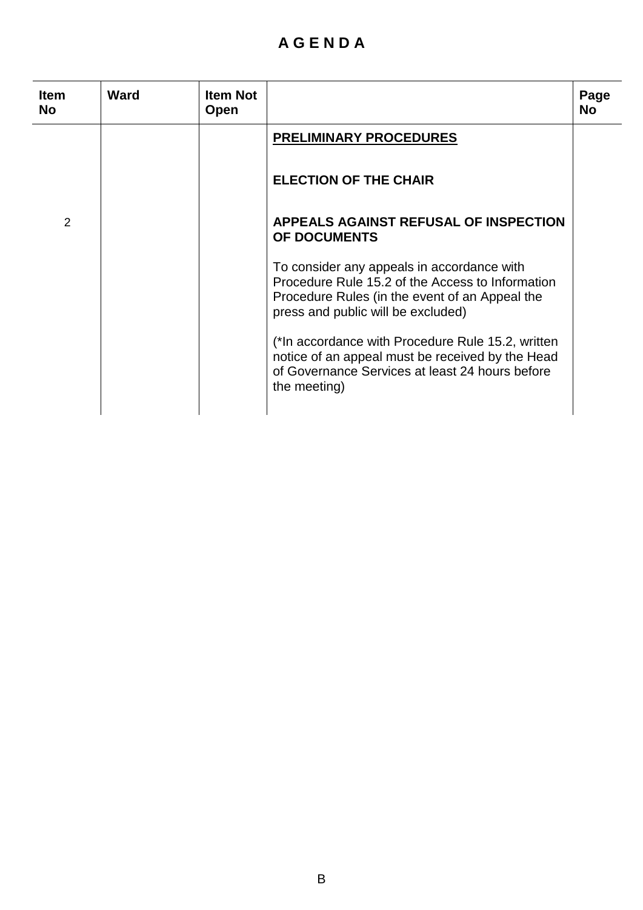## **A G E N D A**

| <b>Item</b><br><b>No</b> | Ward | <b>Item Not</b><br>Open |                                                                                                                                                                                        | Page<br><b>No</b> |
|--------------------------|------|-------------------------|----------------------------------------------------------------------------------------------------------------------------------------------------------------------------------------|-------------------|
|                          |      |                         | <b>PRELIMINARY PROCEDURES</b>                                                                                                                                                          |                   |
|                          |      |                         | <b>ELECTION OF THE CHAIR</b>                                                                                                                                                           |                   |
| 2                        |      |                         | <b>APPEALS AGAINST REFUSAL OF INSPECTION</b><br>OF DOCUMENTS                                                                                                                           |                   |
|                          |      |                         | To consider any appeals in accordance with<br>Procedure Rule 15.2 of the Access to Information<br>Procedure Rules (in the event of an Appeal the<br>press and public will be excluded) |                   |
|                          |      |                         | (*In accordance with Procedure Rule 15.2, written<br>notice of an appeal must be received by the Head<br>of Governance Services at least 24 hours before<br>the meeting)               |                   |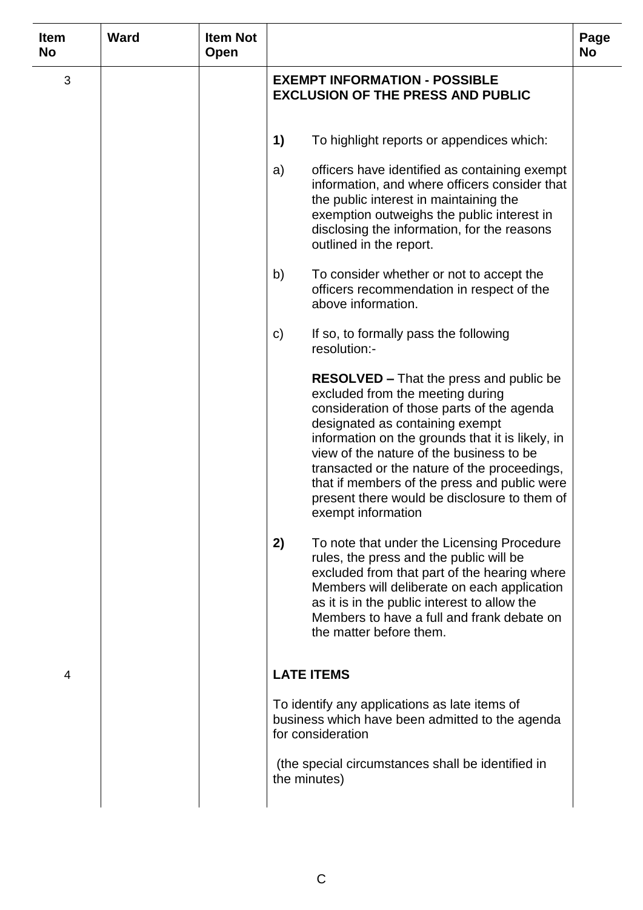| <b>Item</b><br><b>No</b> | <b>Ward</b> | <b>Item Not</b><br>Open |                                                                                                                                                                                                                                                                                                                                                                                                                                           | Page<br><b>No</b> |
|--------------------------|-------------|-------------------------|-------------------------------------------------------------------------------------------------------------------------------------------------------------------------------------------------------------------------------------------------------------------------------------------------------------------------------------------------------------------------------------------------------------------------------------------|-------------------|
| 3                        |             |                         | <b>EXEMPT INFORMATION - POSSIBLE</b><br><b>EXCLUSION OF THE PRESS AND PUBLIC</b>                                                                                                                                                                                                                                                                                                                                                          |                   |
|                          |             |                         | 1)<br>To highlight reports or appendices which:                                                                                                                                                                                                                                                                                                                                                                                           |                   |
|                          |             |                         | officers have identified as containing exempt<br>a)<br>information, and where officers consider that<br>the public interest in maintaining the<br>exemption outweighs the public interest in<br>disclosing the information, for the reasons<br>outlined in the report.                                                                                                                                                                    |                   |
|                          |             |                         | To consider whether or not to accept the<br>b)<br>officers recommendation in respect of the<br>above information.                                                                                                                                                                                                                                                                                                                         |                   |
|                          |             |                         | $\mathsf{C}$<br>If so, to formally pass the following<br>resolution:-                                                                                                                                                                                                                                                                                                                                                                     |                   |
|                          |             |                         | <b>RESOLVED – That the press and public be</b><br>excluded from the meeting during<br>consideration of those parts of the agenda<br>designated as containing exempt<br>information on the grounds that it is likely, in<br>view of the nature of the business to be<br>transacted or the nature of the proceedings,<br>that if members of the press and public were<br>present there would be disclosure to them of<br>exempt information |                   |
|                          |             |                         | 2)<br>To note that under the Licensing Procedure<br>rules, the press and the public will be<br>excluded from that part of the hearing where<br>Members will deliberate on each application<br>as it is in the public interest to allow the<br>Members to have a full and frank debate on<br>the matter before them.                                                                                                                       |                   |
| 4                        |             |                         | <b>LATE ITEMS</b>                                                                                                                                                                                                                                                                                                                                                                                                                         |                   |
|                          |             |                         | To identify any applications as late items of<br>business which have been admitted to the agenda<br>for consideration                                                                                                                                                                                                                                                                                                                     |                   |
|                          |             |                         | (the special circumstances shall be identified in<br>the minutes)                                                                                                                                                                                                                                                                                                                                                                         |                   |
|                          |             |                         |                                                                                                                                                                                                                                                                                                                                                                                                                                           |                   |